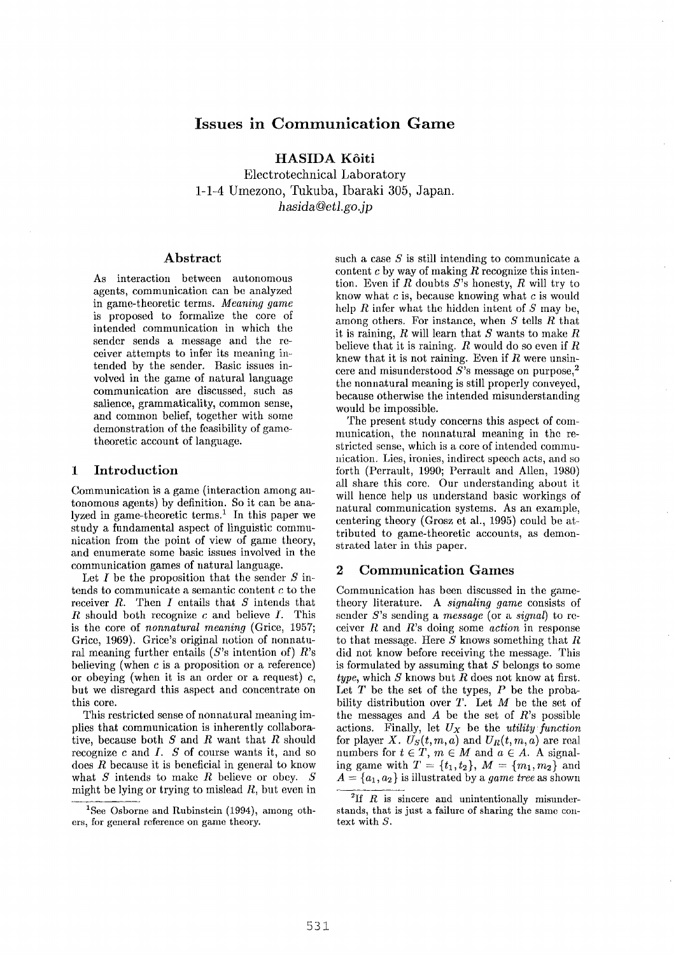# **Issues in Communication Game**

**HASIDA K6iti** 

Electrotechnical Laboratory 1-1-4 Umezono, Tukuba, Ibaraki 305, Japan. *hasida@etl.go.jp* 

### **Abstract**

As interaction between autonomous agents, communication can be analyzed in game-theoretic terms. *Meaning game*  is proposed to formalize the core of intended communication in which the sender sends a message and the receiver attempts to infer its meaning intended by the sender. Basic issues involved in the game of natural language communication are discussed, such as salience, grammaticality, common sense, and common belief, together with some demonstration of the feasibility of game~ theoretic account of language.

### **1** Introduction

Communication is a game (interaction among autonomous agents) by definition. So it can be analyzed in game-theoretic terms.<sup>1</sup> In this paper we study a fundamental aspect of linguistic communication from the point of view of game theory, and enumerate some basic issues involved in the communication games of natural language.

Let  $I$  be the proposition that the sender  $S$  intends to communicate a semantic content c to the receiver  $R$ . Then  $I$  entails that  $S$  intends that  $R$  should both recognize  $c$  and believe  $I$ . This is the core of *nonnatural meaning* (Grice, 1957; Grice, 1969). Grice's original notion of nonnatural meaning further entails  $(S$ 's intention of)  $R$ 's believing (when  $c$  is a proposition or a reference) or obeying (when it is an order or a request)  $c$ , but we disregard this aspect and concentrate on this core.

This restricted sense of nonnatural meaning implies that communication is inherently collaborative, because both  $S$  and  $R$  want that  $R$  should recognize  $c$  and  $I. S$  of course wants it, and so  $\cos R$  because it is beneficial in general to know what  $S$  intends to make  $R$  believe or obey.  $S$ might be lying or trying to mislead  $R$ , but even in such a case  $S$  is still intending to communicate a content  $c$  by way of making  $R$  recognize this intention. Even if R doubts  $S$ 's honesty, R will try to know what  $c$  is, because knowing what  $c$  is would help  $R$  infer what the hidden intent of  $S$  may be, among others. For instance, when S tells R that it is raining,  $R$  will learn that  $S$  wants to make  $R$ believe that it is raining.  $R$  would do so even if  $R$ knew that it is not raining. Even if  $R$  were unsincere and misunderstood  $\overline{S}$ 's message on purpose,<sup>2</sup> the nonnatural meaning is still properly conveyed, because otherwise the intended misunderstanding would be impossible.

The present study concerns this aspect of communication, the nonnatural meaning in the restricted sense, which is a core of intended communication. Lies, ironies, indirect speech acts, and so forth (Perrault, 1990; Perrault and Allen, 1980) all share this core. Our understanding about it will hence help us understand basic workings of natural communication systems. As an example, centering theory (Grosz et al., 1995) could be attributed to game-theoretic accounts, as demonstrated later in this paper.

## **2 Communication Games**

Communication has been discussed in the gametheory literature. A *signaling game* consists of sender S's sending a *message* (or a *signal)* to receiver R and R's doing some *action* in response to that message. Here  $\overline{S}$  knows something that  $R$ did not know before receiving the message. This is formulated by assuming that S belongs to some *type,* which S knows but R does not know at first. Let  $T$  be the set of the types,  $P$  be the probability distribution over  $T$ . Let  $M$  be the set of the messages and  $A$  be the set of  $R$ 's possible actions. Finally, let *Ux* be the *utility function*  for player *X.*  $U_S(t,m,a)$  and  $U_R(t,m,a)$  are real numbers for  $t \in \hat{T}$ ,  $m \in M$  and  $a \in A$ . A signaling game with  $T = \{t_1, t_2\}, M = \{m_1, m_2\}$  and  $A = \{a_1, a_2\}$  is illustrated by a *game tree* as shown

<sup>&</sup>lt;sup>1</sup>See Osborne and Rubinstein (1994), among others, for general reference on game theory.

 $^{2}$ If *R* is sincere and unintentionally misunderstands, that is just a failure of sharing the same context with S.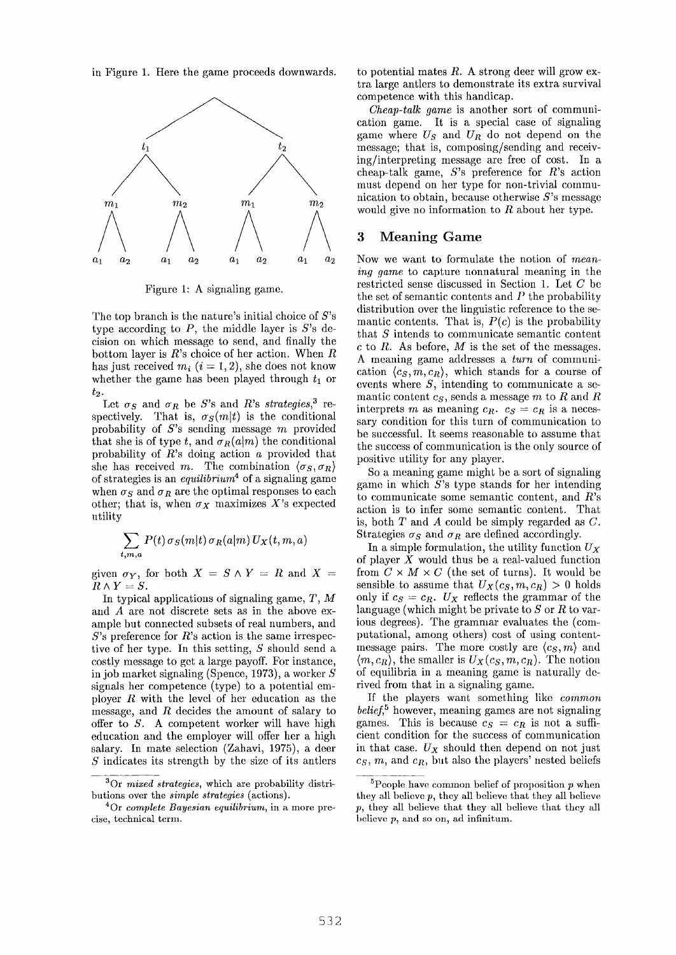in Figure 1. Here the game proceeds downwards.



Figure 1: A signaling game.

The top branch is the nature's initial choice of  $S$ 's type according to  $P$ , the middle layer is  $S$ 's decision on which message to send, and finally the bottom layer is  $R$ 's choice of her action. When  $R$ has just received  $m_i$  ( $i = 1, 2$ ), she does not know whether the game has been played through  $t_1$  or *t2.* 

Let  $\sigma_S$  and  $\sigma_R$  be S's and R's *strategies*,<sup>3</sup> respectively. That is,  $\sigma_S(m|t)$  is the conditional probability of *S's* sending message m provided that she is of type t, and  $\sigma_R(a|m)$  the conditional probability of R's doing action a provided that she has received m. The combination  $\langle \sigma_S, \sigma_R \rangle$ of strategies is an *equilibrium 4* of a signaling game when  $\sigma_S$  and  $\sigma_R$  are the optimal responses to each other; that is, when  $\sigma_X$  maximizes X's expected utility

$$
\sum_{t,m,a} P(t) \,\sigma_S(m|t) \,\sigma_R(a|m) \, U_X(t,m,a)
$$

given  $\sigma_Y$ , for both  $X = S \wedge Y = R$  and  $X =$  $R \wedge Y = S$ .

In typical applications of signaling game,  $T$ ,  $M$ and A are not discrete sets as in the above example but connected subsets of real numbers, and  $S$ 's preference for R's action is the same irrespective of her type. In this setting, S should send a costly message to get a large payoff. For instance, in job market signaling (Spence, 1973), a worker S signals her competence (type) to a potential employer  $R$  with the level of her education as the message, and R decides the amount of salary to offer to S. A competent worker will have high education and the employer will offer her a high salary. In mate selection (Zahavi, 1975), a deer S indicates its strength by the size of its antlers to potential mates  $R$ . A strong deer will grow extra large antlers to demonstrate its extra survival competence with this handicap.

*Cheap-talk game* is another sort of communication game. It is a special case of signaling game where  $U<sub>S</sub>$  and  $U<sub>R</sub>$  do not depend on the message; that is, composing/sending and receiving/interpreting message are free of cost. In a cheap-talk game, S's preference for R's action must depend on her type for non-trivial communication to obtain, because otherwise  $S$ 's message would give no information to R about her type.

## 3 Meaning Game

Now we want to formulate the notion of *meaning game* to capture nonnatural meaning in the restricted sense discussed in Section 1. Let C be the set of semantic contents and  $P$  the probability distribution over the linguistic reference to the semantic contents. That is,  $P(c)$  is the probability that S intends to communicate semantic content  $c$  to  $R$ . As before,  $M$  is the set of the messages. A meaning game addresses a *turn* of communication  $\langle c_s, m, c_R \rangle$ , which stands for a course of events where S, intending to communicate a semantic content  $c_S$ , sends a message m to R and R interprets m as meaning  $c_R$ .  $c_S = c_R$  is a necessary condition for this turn of communication to be successful. It seems reasonable to assume that the success of communication is the only source of positive utility for any player.

So a meaning game might be a sort of signaling game in which S's type stands for her intending to communicate some semantic content, and R's action is to infer some semantic content. That is, both  $T$  and  $\tilde{A}$  could be simply regarded as  $C$ . Strategies  $\sigma_S$  and  $\sigma_R$  are defined accordingly.

In a simple formulation, the utility function  $U_X$ of player  $X$  would thus be a real-valued function from  $C \times M \times C$  (the set of turns). It would be sensible to assume that  $U_X(c_S, m, c_R) > 0$  holds only if  $c_S = c_R$ .  $U_X$  reflects the grammar of the language (which might be private to  $S$  or  $R$  to various degrees). The grammar evaluates the (computational, among others) cost of using contentmessage pairs. The more costly are  $\langle c_s, m \rangle$  and  $\langle m, c_R \rangle$ , the smaller is  $U_X(c_S, m, c_R)$ . The notion of equilibria in a meaning game is naturally derived from that in a signaling game.

If the players want something like *common belief*,<sup>5</sup> however, meaning games are not signaling games. This is because  $c_S = c_R$  is not a sufficient condition for the success of communication in that case.  $U_X$  should then depend on not just  $c_S, m$ , and  $c_R$ , but also the players' nested beliefs

<sup>3</sup>Or *mixed strategies,* which are probability distri= butions over the *simple strategies* (actions).

<sup>4</sup>Or *complete Bayesian equilibrium,* in a more precise, technical term.

 ${}^{5}$ People have common belief of proposition p when they all believe  $p$ , they all believe that they all believe p, they all believe that they all believe that they all believe p, and so on, ad infinitum.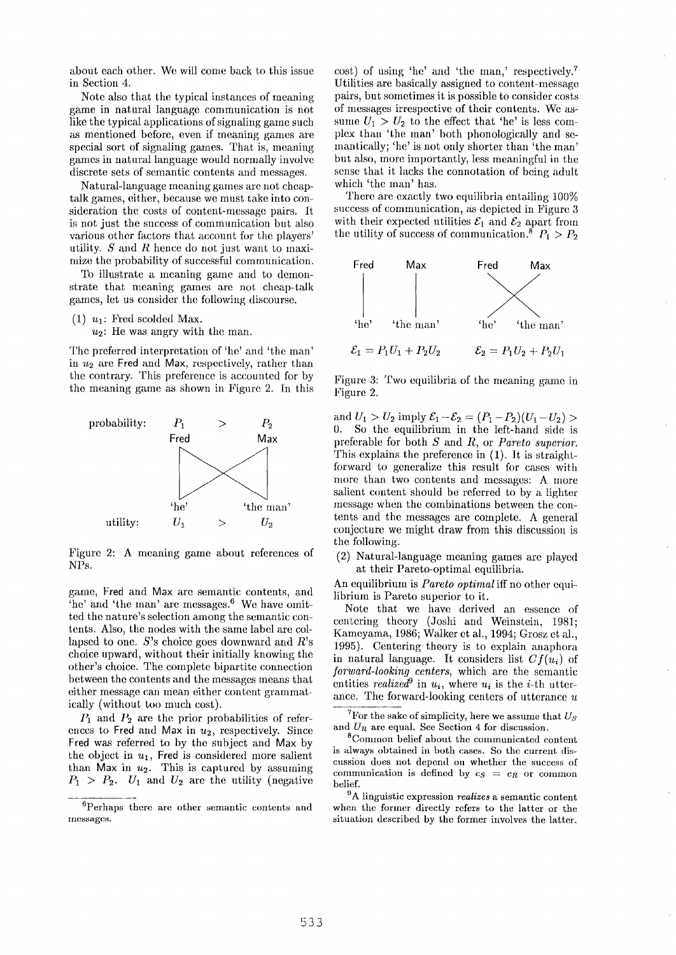about each other. We will come back to this issue in Section 4.

Note also that the typical instances of meaning game in natural language communication is not like the typical applications of signaling game such as mentioned before, even if meaning games are special sort of signaling games. That is, meaning games in natural language would normally involve discrete sets of semantic contents and messages.

Natural-language meaning games are not cheaptalk games, either, because we must take into consideration the costs of content-message pairs. It is not just the success of communication but also various other factors that account for the players' utility.  $S$  and  $R$  hence do not just want to maximize the probability of successful communication.

To illustrate a meaning game and to demonstrate that meaning games are not cheap-talk games, let us consider the following discourse.

(1)  $u_1$ : Fred scolded Max.

 $u_2$ : He was angry with the man.

The preferred interpretation of 'he' and 'the man' in  $u_2$  are Fred and Max, respectively, rather than the contrary. This preference is accounted for by the meaning game as shown in Figure 2. In this



Figure 2: A meaning game about references of NPs.

game, Fred and Max are semantic contents, and 'he' and 'the man' are messages. 6 We have omitted the nature's selection among the semantic contents. Also, the nodes with the same label are collapsed to one. S's choice goes downward and R's choice upward, without their initially knowing the other's choice. The complete bipartite connection between the contents and the messages means that either message can mean either content grammatically (without too much cost).

 $P_1$  and  $P_2$  are the prior probabilities of references to Fred and Max in  $u_2$ , respectively. Since Fred was referred to by the subject and Max by the object in  $u_1$ , Fred is considered more salient than Max in  $u_2$ . This is captured by assuming  $P_1 > P_2$ .  $U_1$  and  $U_2$  are the utility (negative cost) of using 'he' and 'the man,' respectively.<sup>7</sup> Utilities are basically assigned to content-message pairs, but sometimes it is possible to consider costs of messages irrespective of their contents. We assume  $U_1 > U_2$  to the effect that 'he' is less complex than 'the man' both phonologically and semantically; 'he' is not only shorter than 'the man' but also, more importantly, less meaningful in the sense that it lacks the connotation of being adult which 'the man' has.

There are exactly two equilibria entailing 100% success of communication, as depicted in Figure 3 with their expected utilities  $\mathcal{E}_1$  and  $\mathcal{E}_2$  apart from the utility of success of communication.<sup>8</sup>  $P_1 > P_2$ 



Figure 3: Two equilibria of the meaning game in Figure 2,

and  $U_1 > U_2$  imply  $\mathcal{E}_1 - \mathcal{E}_2 = (P_1 - P_2)(U_1 - U_2) >$ 0. So the equilibrium in the left-hand side is preferable for both S and R, or *Pareto superior.*  This explains the preference in (1). It is straightforward to generalize this result for cases with more than two contents and messages: A more salient content should be referred to by a lighter message when the combinations between the contents and the messages are complete. A general conjecture we might draw from this discussion is the following.

(2) Natural-language meaning games are played at their Pareto-optimal equilibria.

An equilibrium is *Pareto optimal* iff no other equilibrium is Pareto superior to it.

Note that we have derived an essence of centering theory (Joshi and Weinstein, 1981; Kamcyama, 1986; Walker et al., 1994; Grosz et al., 1995). Centering theory is to explain anaphora in natural language. It considers list *Cf(ui)* of *forward-looking centers,* which are the semantic entities *realized*<sup>9</sup> in  $u_i$ , where  $u_i$  is the *i*-th utterance. The forward-looking centers of utterance u

<sup>7</sup>For the sake of simplicity, here we assume that  $U_s$ and  $U_R$  are equal. See Section 4 for discussion.

SCommon belief about the communicated content is always obtained in both cases. So the current discussion does not depend on whether the success of communication is defined by  $c_S = c_R$  or common belief.

9A linguistic expression *realizes* a semantic content when the former directly rcfers to the latter or the situation described by the former involves the latter.

<sup>6</sup>Perhaps there are other semantic contents and messages.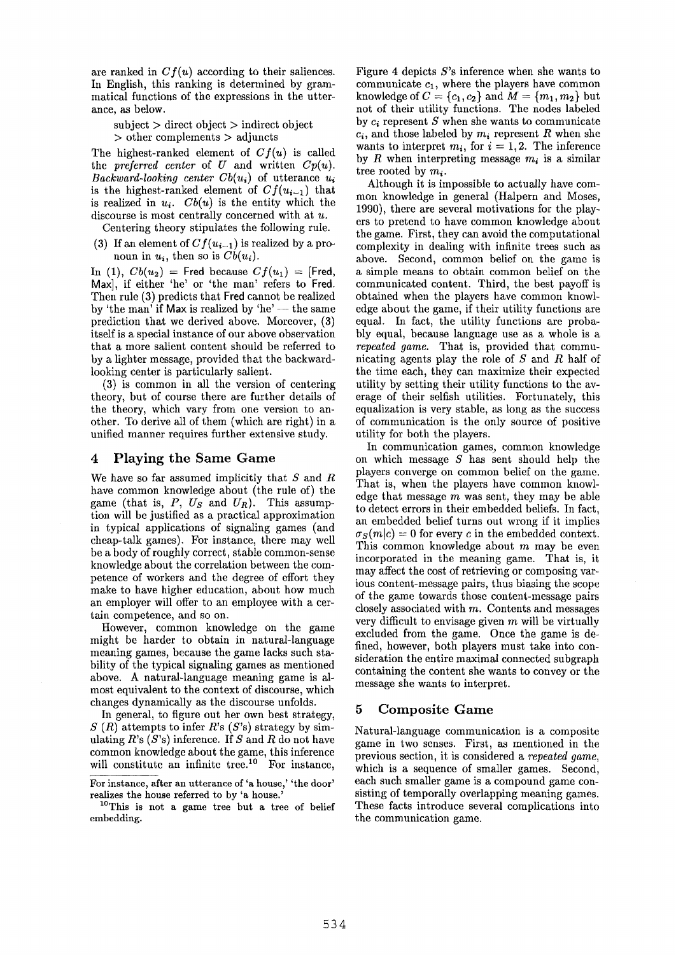are ranked in  $Cf(u)$  according to their saliences. In English, this ranking is determined by grammatical functions of the expressions in the utterance, as below.

 $subject > direct object > indirect object$ > other complements > adjuncts

The highest-ranked element of *Cf(u)* is called the *preferred center* of U and written  $Cp(u)$ . *Backward-looking center*  $Cb(u_i)$  *of utterance*  $u_i$ is the highest-ranked element of  $Cf(u_{i-1})$  that is realized in  $u_i$ .  $Cb(u)$  is the entity which the discourse is most centrally concerned with at  $u$ .

Centering theory stipulates the following rule.

(3) If an element of  $Cf(u_{i-1})$  is realized by a pronoun in  $u_i$ , then so is  $Cb(u_i)$ .

In (1),  $Cb(u_2)$  = Fred because  $Cf(u_1)$  = [Fred, Max], if either 'he' or 'the man' refers to Fred. Then rule (3) predicts that Fred cannot be realized by 'the man' if Max is realized by 'he'  $-$  the same prediction that we derived above. Moreover, (3) itself is a special instance of our above observation that a more salient content should be referred to by a lighter message, provided that the backwardlooking center is particularly salient.

(3) is common in all the version of centering theory, but of course there are further details of the theory, which vary from one version to another. To derive all of them (which are right) in a unified manner requires further extensive study.

### 4 Playing the Same Game

We have so far assumed implicitly that  $S$  and  $R$ have common knowledge about (the rule of) the game (that is, *P, Us* and *UR).* This assumption will be justified as a practical approximation in typical applications of signaling games (and cheap-talk games). For instance, there may well be a body of roughly correct, stable common-sense knowledge about the correlation between the competence of workers and the degree of effort they make to have higher education, about how much an employer will offer to an employee with a certain competence, and so on.

However, common knowledge on the game might be harder to obtain in natural-language meaning games, because the game lacks such stability of the typical signaling games as mentioned above. A natural-language meaning game is almost equivalent to the context of discourse, which changes dynamically as the discourse unfolds.

In general, to figure out her own best strategy,  $S(R)$  attempts to infer R's  $(S's)$  strategy by simulating  $R$ 's  $(S$ 's) inference. If S and R do not have common knowledge about the game, this inference will constitute an infinite tree.<sup>10</sup> For instance.

1°This is not a game tree but a tree of belief embedding.

Figure 4 depicts  $S$ 's inference when she wants to communicate  $c_1$ , where the players have common knowledge of  $C = \{c_1, c_2\}$  and  $M = \{m_1, m_2\}$  but not of their utility functions. The nodes labeled by  $c_i$  represent S when she wants to communicate  $c_i$ , and those labeled by  $m_i$ , represent R when she wants to interpret  $m_i$ , for  $i = 1, 2$ . The inference by R when interpreting message  $m_i$  is a similar tree rooted by  $m_i$ .

Although it is impossible to actually have common knowledge in general (Halpern and Moses, 1990), there are several motivations for the players to pretend to have common knowledge about the game. First, they can avoid the computational complexity in dealing with infinite trees such as above. Second, common belief on the game is a simple means to obtain common belief on the communicated content. Third, the best payoff is obtained when the players have common knowledge about the game, if their utility functions are equal. In fact, the utility functions are probably equal, because language use as a whole is a *repeated game.* That is, provided that communicating agents play the role of S and R half of the time each, they can maximize their expected utility by setting their utility functions to the average of their selfish utilities. Fortunately, this equalization is very stable, as long as the success of communication is the only source of positive utility for both the players.

In communication games, common knowledge on which message S has sent should help the players converge on common belief on the game. That is, when the players have common knowledge that message  $m$  was sent, they may be able to detect errors in their embedded beliefs. In fact, an embedded belief turns out wrong if it implies  $\sigma_S(m|c) = 0$  for every c in the embedded context. This common knowledge about m may be even incorporated in the meaning game. That is, it may affect the cost of retrieving or composing various content-message pairs, thus biasing the scope of the game towards those content-message pairs closely associated with  $m$ . Contents and messages very difficult to envisage given  $m$  will be virtually excluded from the game. Once the game is defined, however, both players must take into consideration the entire maximal connected subgraph containing the content she wants to convey or the message she wants to interpret.

#### 5 Composite Game

Natural-language communication is a composite game in two senses. First, as mentioned in the previous section, it is considered a *repeated game,*  which is a sequence of smaller games. Second, each such smaller game is a compound game consisting of temporally overlapping meaning games. These facts introduce several complications into the communication game.

For instance, after an utterance of 'a house,' 'the door' realizes the house referred to by 'a house.'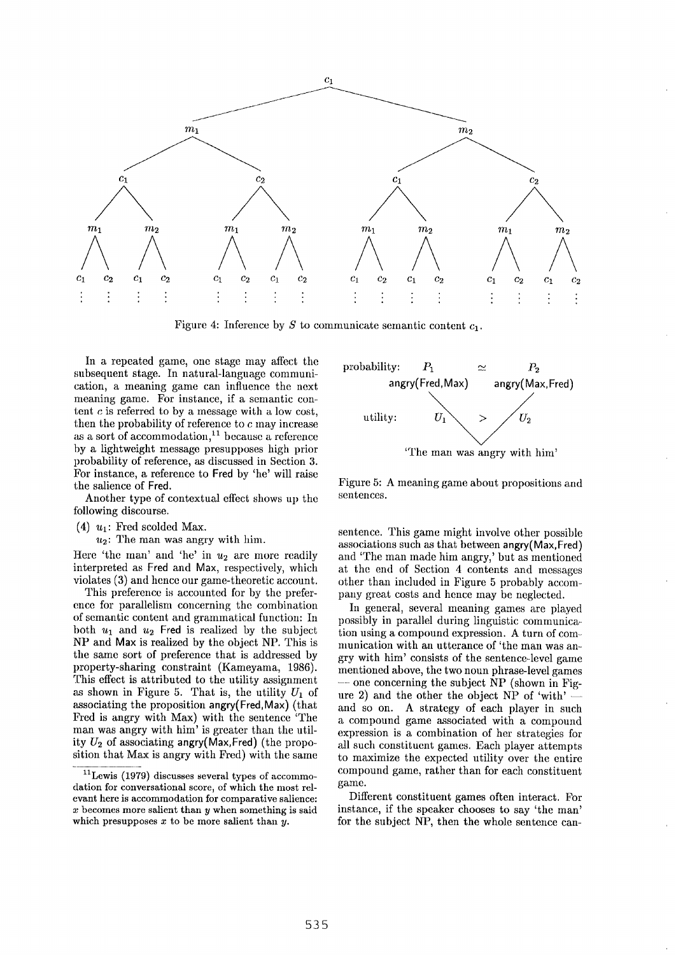

Figure 4: Inference by S to communicate semantic content  $c_1$ .

In a repeated game, one stage may affect the subsequent stage. In natural-language communication, a meaning game can influence the next meaning game. For instance, if a semantic content  $c$  is referred to by a message with a low cost, then the probability of reference to c may increase as a sort of accommodation, $11$  because a reference by a lightweight message presupposes high prior probability of reference, as discussed in Section 3. For instance, a reference to Fred by 'he' will raise the salience of Fred.

Another type of contextual effect shows up the following discourse.

- (4)  $u_1$ : Fred scolded Max.
	- $u_2$ : The man was angry with him.

Here 'the man' and 'he' in  $u_2$  are more readily interpreted as Fred and Max, respectively, which violates (3) and hence our game-theoretic account.

This preference is accounted for by the preference for parallelism concerning the combination of semantic content and grammatical function: In both  $u_1$  and  $u_2$  Fred is realized by the subject NP and Max is realized by the object NP. This is the same sort of preference that is addressed by property-sharing constraint (Kameyama, 1986). This effect is attributed to the utility assignment as shown in Figure 5. That is, the utility  $U_1$  of associating the proposition angry(Fred, Max) (that Fred is angry with Max) with the sentence 'The man was angry with him' is greater than the utility  $U_2$  of associating angry(Max,Fred) (the proposition that Max is angry with Fred) with the same



Figure 5: A meaning game about propositions and sentences.

sentence. This game might involve other possible associations such as that between angry(Max,Fred) and 'The man made him angry,' but as mentioned at the end of Section 4 contents and messages other than included in Figure 5 probably accompany great costs and hence may be neglected.

In general, several meaning games are played possibly in parallel during linguistic communica~ tion using a compound expression. A turn of communication with an utterance of 'the man was angry with him' consists of the sentence-level game mentioned above, the two noun phrase-level games one concerning the subject NP (shown in Figure 2) and the other the object  $NP$  of 'with' and so on. A strategy of each player in such a compound game associated with a compound expression is a combination of her strategies for all such constituent games. Each player attempts to maximize the expected utility over the entire compound game, rather than for each constituent game.

Different constituent games often interact. For instance, if the speaker chooses to say 'the man' for the subject NP, then the whole sentence can-

<sup>11</sup>Lewis (1979) discusses several types of accommodation for conversational score, of which the most relevant here is accommodation for comparative salience:  $x$  becomes more salient than  $y$  when something is said which presupposes  $x$  to be more salient than  $y$ .